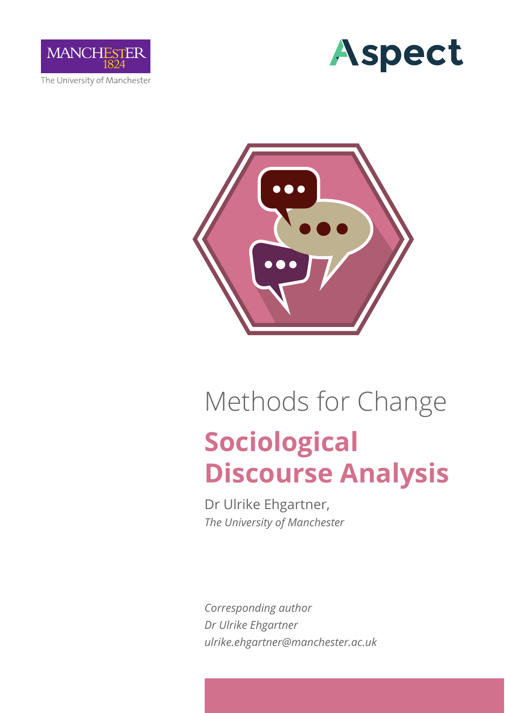

The University of Manchester





# **Sociological Discourse Analysis** Methods for Change

Dr Ulrike Ehgartner, *The University of Manchester*

*Corresponding author Dr Ulrike Ehgartner ulrike.ehgartner@manchester.ac.uk*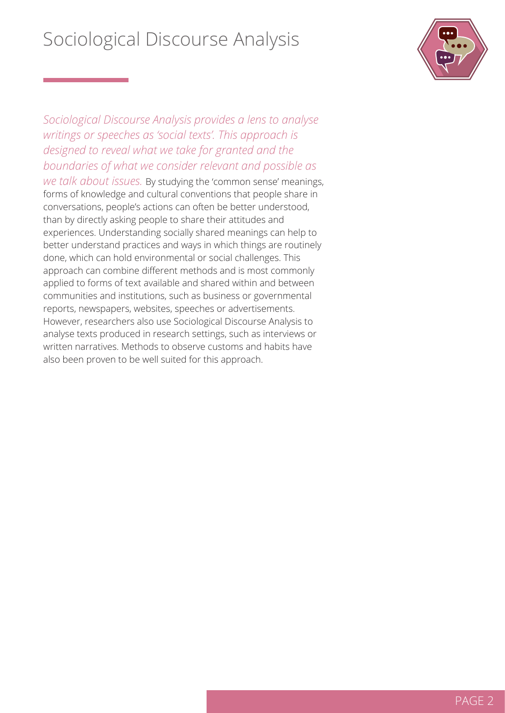

*Sociological Discourse Analysis provides a lens to analyse writings or speeches as 'social texts'. This approach is designed to reveal what we take for granted and the boundaries of what we consider relevant and possible as* 

*we talk about issues.* By studying the 'common sense' meanings, forms of knowledge and cultural conventions that people share in conversations, people's actions can often be better understood, than by directly asking people to share their attitudes and experiences. Understanding socially shared meanings can help to better understand practices and ways in which things are routinely done, which can hold environmental or social challenges. This approach can combine different methods and is most commonly applied to forms of text available and shared within and between communities and institutions, such as business or governmental reports, newspapers, websites, speeches or advertisements. However, researchers also use Sociological Discourse Analysis to analyse texts produced in research settings, such as interviews or written narratives. Methods to observe customs and habits have also been proven to be well suited for this approach.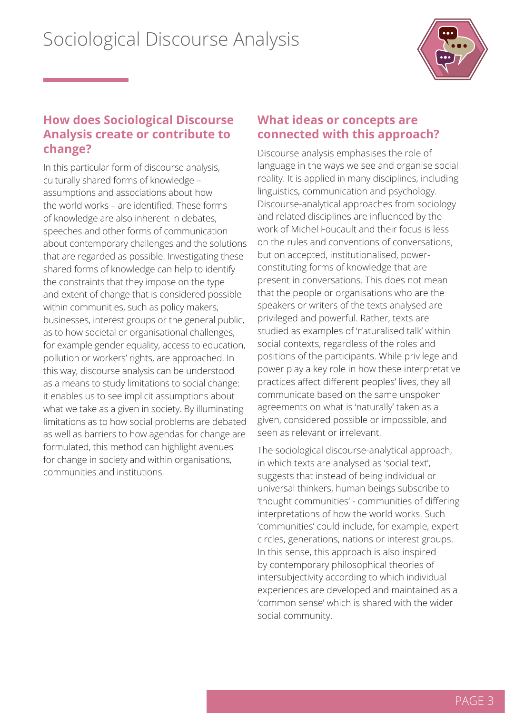

### **How does Sociological Discourse Analysis create or contribute to change?**

In this particular form of discourse analysis, culturally shared forms of knowledge – assumptions and associations about how the world works – are identified. These forms of knowledge are also inherent in debates, speeches and other forms of communication about contemporary challenges and the solutions that are regarded as possible. Investigating these shared forms of knowledge can help to identify the constraints that they impose on the type and extent of change that is considered possible within communities, such as policy makers, businesses, interest groups or the general public, as to how societal or organisational challenges, for example gender equality, access to education, pollution or workers' rights, are approached. In this way, discourse analysis can be understood as a means to study limitations to social change: it enables us to see implicit assumptions about what we take as a given in society. By illuminating limitations as to how social problems are debated as well as barriers to how agendas for change are formulated, this method can highlight avenues for change in society and within organisations, communities and institutions.

#### **What ideas or concepts are connected with this approach?**

Discourse analysis emphasises the role of language in the ways we see and organise social reality. It is applied in many disciplines, including linguistics, communication and psychology. Discourse-analytical approaches from sociology and related disciplines are influenced by the work of Michel Foucault and their focus is less on the rules and conventions of conversations, but on accepted, institutionalised, powerconstituting forms of knowledge that are present in conversations. This does not mean that the people or organisations who are the speakers or writers of the texts analysed are privileged and powerful. Rather, texts are studied as examples of 'naturalised talk' within social contexts, regardless of the roles and positions of the participants. While privilege and power play a key role in how these interpretative practices affect different peoples' lives, they all communicate based on the same unspoken agreements on what is 'naturally' taken as a given, considered possible or impossible, and seen as relevant or irrelevant.

The sociological discourse-analytical approach, in which texts are analysed as 'social text', suggests that instead of being individual or universal thinkers, human beings subscribe to 'thought communities' - communities of differing interpretations of how the world works. Such 'communities' could include, for example, expert circles, generations, nations or interest groups. In this sense, this approach is also inspired by contemporary philosophical theories of intersubjectivity according to which individual experiences are developed and maintained as a 'common sense' which is shared with the wider social community.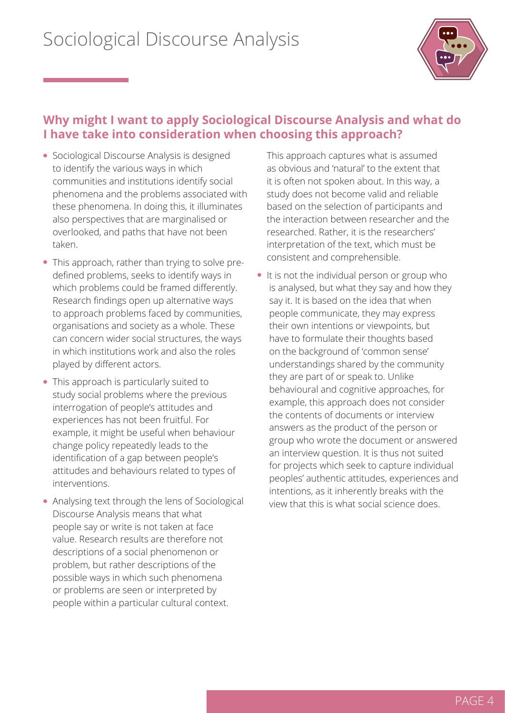

### **Why might I want to apply Sociological Discourse Analysis and what do I have take into consideration when choosing this approach?**

- Sociological Discourse Analysis is designed to identify the various ways in which communities and institutions identify social phenomena and the problems associated with these phenomena. In doing this, it illuminates also perspectives that are marginalised or overlooked, and paths that have not been taken.
- This approach, rather than trying to solve predefined problems, seeks to identify ways in which problems could be framed differently. Research findings open up alternative ways to approach problems faced by communities, organisations and society as a whole. These can concern wider social structures, the ways in which institutions work and also the roles played by different actors.
- This approach is particularly suited to study social problems where the previous interrogation of people's attitudes and experiences has not been fruitful. For example, it might be useful when behaviour change policy repeatedly leads to the identification of a gap between people's attitudes and behaviours related to types of interventions.
- Analysing text through the lens of Sociological Discourse Analysis means that what people say or write is not taken at face value. Research results are therefore not descriptions of a social phenomenon or problem, but rather descriptions of the possible ways in which such phenomena or problems are seen or interpreted by people within a particular cultural context.

This approach captures what is assumed as obvious and 'natural' to the extent that it is often not spoken about. In this way, a study does not become valid and reliable based on the selection of participants and the interaction between researcher and the researched. Rather, it is the researchers' interpretation of the text, which must be consistent and comprehensible.

 $\bullet$  It is not the individual person or group who is analysed, but what they say and how they say it. It is based on the idea that when people communicate, they may express their own intentions or viewpoints, but have to formulate their thoughts based on the background of 'common sense' understandings shared by the community they are part of or speak to. Unlike behavioural and cognitive approaches, for example, this approach does not consider the contents of documents or interview answers as the product of the person or group who wrote the document or answered an interview question. It is thus not suited for projects which seek to capture individual peoples' authentic attitudes, experiences and intentions, as it inherently breaks with the view that this is what social science does.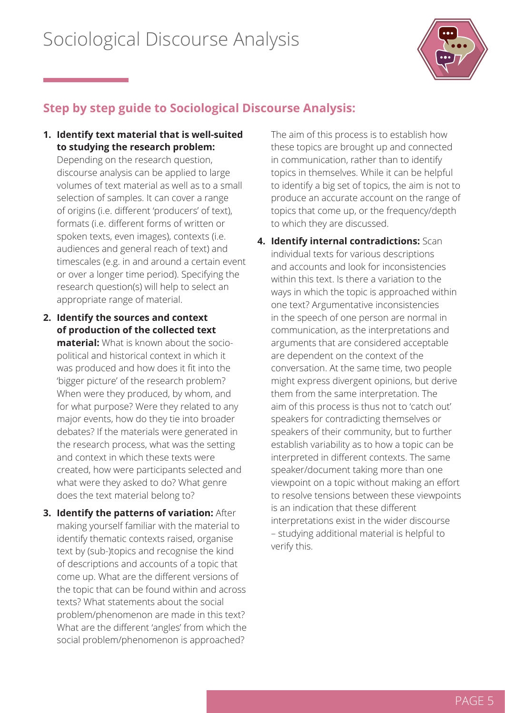

### **Step by step guide to Sociological Discourse Analysis:**

**1. Identify text material that is well-suited to studying the research problem:** 

Depending on the research question, discourse analysis can be applied to large volumes of text material as well as to a small selection of samples. It can cover a range of origins (i.e. different 'producers' of text), formats (i.e. different forms of written or spoken texts, even images), contexts (i.e. audiences and general reach of text) and timescales (e.g. in and around a certain event or over a longer time period). Specifying the research question(s) will help to select an appropriate range of material.

- **2. Identify the sources and context of production of the collected text material:** What is known about the sociopolitical and historical context in which it was produced and how does it fit into the 'bigger picture' of the research problem? When were they produced, by whom, and for what purpose? Were they related to any major events, how do they tie into broader debates? If the materials were generated in the research process, what was the setting and context in which these texts were created, how were participants selected and what were they asked to do? What genre does the text material belong to?
- **3. Identify the patterns of variation:** After making yourself familiar with the material to identify thematic contexts raised, organise text by (sub-)topics and recognise the kind of descriptions and accounts of a topic that come up. What are the different versions of the topic that can be found within and across texts? What statements about the social problem/phenomenon are made in this text? What are the different 'angles' from which the social problem/phenomenon is approached?

The aim of this process is to establish how these topics are brought up and connected in communication, rather than to identify topics in themselves. While it can be helpful to identify a big set of topics, the aim is not to produce an accurate account on the range of topics that come up, or the frequency/depth to which they are discussed.

**4. Identify internal contradictions:** Scan individual texts for various descriptions and accounts and look for inconsistencies within this text. Is there a variation to the ways in which the topic is approached within one text? Argumentative inconsistencies in the speech of one person are normal in communication, as the interpretations and arguments that are considered acceptable are dependent on the context of the conversation. At the same time, two people might express divergent opinions, but derive them from the same interpretation. The aim of this process is thus not to 'catch out' speakers for contradicting themselves or speakers of their community, but to further establish variability as to how a topic can be interpreted in different contexts. The same speaker/document taking more than one viewpoint on a topic without making an effort to resolve tensions between these viewpoints is an indication that these different interpretations exist in the wider discourse – studying additional material is helpful to verify this.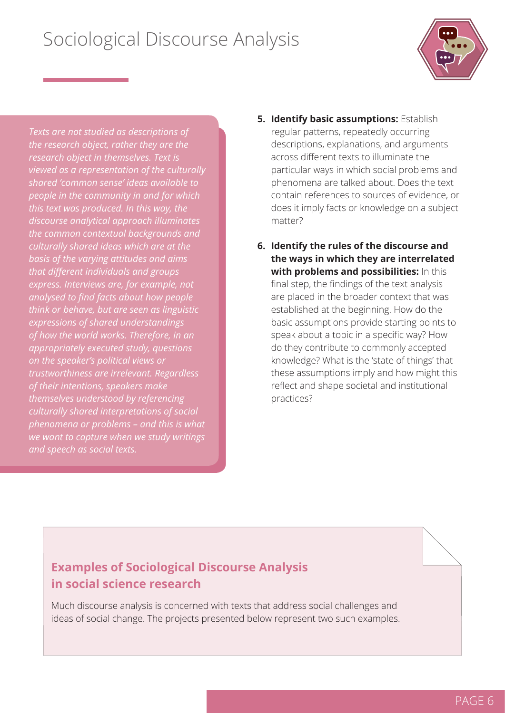

*Texts are not studied as descriptions of the research object, rather they are the research object in themselves. Text is viewed as a representation of the culturally shared 'common sense' ideas available to people in the community in and for which this text was produced. In this way, the discourse analytical approach illuminates the common contextual backgrounds and culturally shared ideas which are at the basis of the varying attitudes and aims that different individuals and groups express. Interviews are, for example, not analysed to find facts about how people think or behave, but are seen as linguistic expressions of shared understandings of how the world works. Therefore, in an appropriately executed study, questions on the speaker's political views or trustworthiness are irrelevant. Regardless of their intentions, speakers make themselves understood by referencing culturally shared interpretations of social phenomena or problems – and this is what we want to capture when we study writings* 

- **5. Identify basic assumptions:** Establish regular patterns, repeatedly occurring descriptions, explanations, and arguments across different texts to illuminate the particular ways in which social problems and phenomena are talked about. Does the text contain references to sources of evidence, or does it imply facts or knowledge on a subject matter?
- **6. Identify the rules of the discourse and the ways in which they are interrelated with problems and possibilities:** In this final step, the findings of the text analysis are placed in the broader context that was established at the beginning. How do the basic assumptions provide starting points to speak about a topic in a specific way? How do they contribute to commonly accepted knowledge? What is the 'state of things' that these assumptions imply and how might this reflect and shape societal and institutional practices?

### **Examples of Sociological Discourse Analysis in social science research**

Much discourse analysis is concerned with texts that address social challenges and ideas of social change. The projects presented below represent two such examples.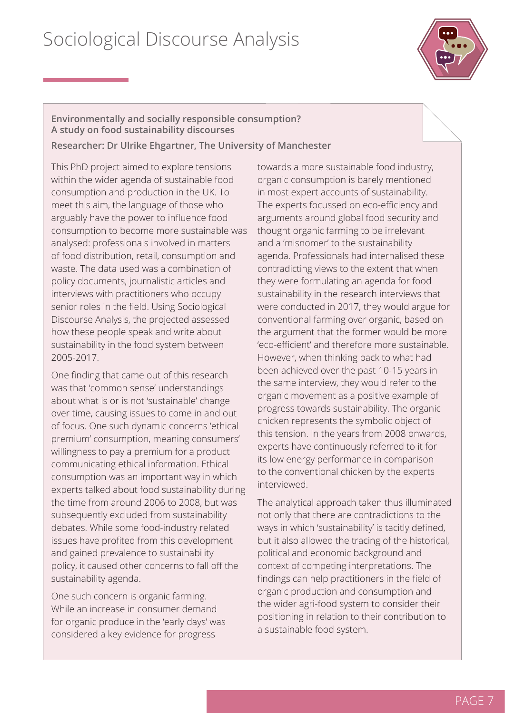

**Environmentally and socially responsible consumption? A study on food sustainability discourses Researcher: Dr Ulrike Ehgartner, The University of Manchester**

This PhD project aimed to explore tensions within the wider agenda of sustainable food consumption and production in the UK. To meet this aim, the language of those who arguably have the power to influence food consumption to become more sustainable was analysed: professionals involved in matters of food distribution, retail, consumption and waste. The data used was a combination of policy documents, journalistic articles and interviews with practitioners who occupy senior roles in the field. Using Sociological Discourse Analysis, the projected assessed how these people speak and write about sustainability in the food system between 2005-2017.

One finding that came out of this research was that 'common sense' understandings about what is or is not 'sustainable' change over time, causing issues to come in and out of focus. One such dynamic concerns 'ethical premium' consumption, meaning consumers' willingness to pay a premium for a product communicating ethical information. Ethical consumption was an important way in which experts talked about food sustainability during the time from around 2006 to 2008, but was subsequently excluded from sustainability debates. While some food-industry related issues have profited from this development and gained prevalence to sustainability policy, it caused other concerns to fall off the sustainability agenda.

One such concern is organic farming. While an increase in consumer demand for organic produce in the 'early days' was considered a key evidence for progress

towards a more sustainable food industry, organic consumption is barely mentioned in most expert accounts of sustainability. The experts focussed on eco-efficiency and arguments around global food security and thought organic farming to be irrelevant and a 'misnomer' to the sustainability agenda. Professionals had internalised these contradicting views to the extent that when they were formulating an agenda for food sustainability in the research interviews that were conducted in 2017, they would argue for conventional farming over organic, based on the argument that the former would be more 'eco-efficient' and therefore more sustainable. However, when thinking back to what had been achieved over the past 10-15 years in the same interview, they would refer to the organic movement as a positive example of progress towards sustainability. The organic chicken represents the symbolic object of this tension. In the years from 2008 onwards, experts have continuously referred to it for its low energy performance in comparison to the conventional chicken by the experts interviewed.

The analytical approach taken thus illuminated not only that there are contradictions to the ways in which 'sustainability' is tacitly defined, but it also allowed the tracing of the historical, political and economic background and context of competing interpretations. The findings can help practitioners in the field of organic production and consumption and the wider agri-food system to consider their positioning in relation to their contribution to a sustainable food system.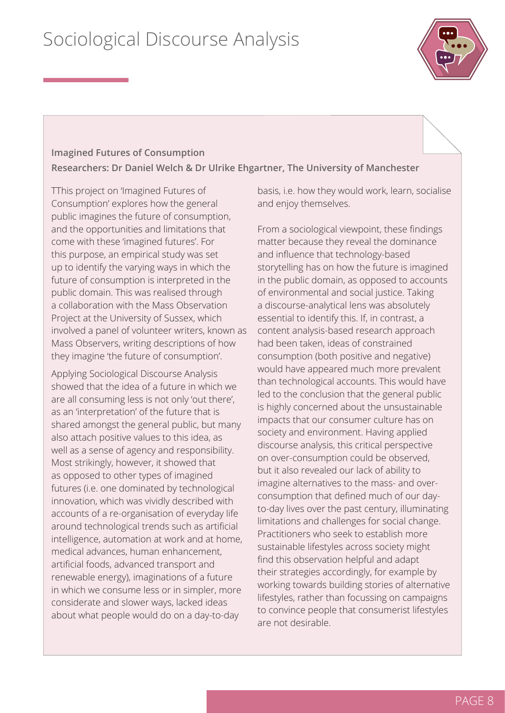

### **Imagined Futures of Consumption Researchers: Dr Daniel Welch & Dr Ulrike Ehgartner, The University of Manchester**

TThis project on 'Imagined Futures of Consumption' explores how the general public imagines the future of consumption, and the opportunities and limitations that come with these 'imagined futures'. For this purpose, an empirical study was set up to identify the varying ways in which the future of consumption is interpreted in the public domain. This was realised through a collaboration with the Mass Observation Project at the University of Sussex, which involved a panel of volunteer writers, known as Mass Observers, writing descriptions of how they imagine 'the future of consumption'.

Applying Sociological Discourse Analysis showed that the idea of a future in which we are all consuming less is not only 'out there', as an 'interpretation' of the future that is shared amongst the general public, but many also attach positive values to this idea, as well as a sense of agency and responsibility. Most strikingly, however, it showed that as opposed to other types of imagined futures (i.e. one dominated by technological innovation, which was vividly described with accounts of a re-organisation of everyday life around technological trends such as artificial intelligence, automation at work and at home, medical advances, human enhancement, artificial foods, advanced transport and renewable energy), imaginations of a future in which we consume less or in simpler, more considerate and slower ways, lacked ideas about what people would do on a day-to-day

basis, i.e. how they would work, learn, socialise and enjoy themselves.

From a sociological viewpoint, these findings matter because they reveal the dominance and influence that technology-based storytelling has on how the future is imagined in the public domain, as opposed to accounts of environmental and social justice. Taking a discourse-analytical lens was absolutely essential to identify this. If, in contrast, a content analysis-based research approach had been taken, ideas of constrained consumption (both positive and negative) would have appeared much more prevalent than technological accounts. This would have led to the conclusion that the general public is highly concerned about the unsustainable impacts that our consumer culture has on society and environment. Having applied discourse analysis, this critical perspective on over-consumption could be observed, but it also revealed our lack of ability to imagine alternatives to the mass- and overconsumption that defined much of our dayto-day lives over the past century, illuminating limitations and challenges for social change. Practitioners who seek to establish more sustainable lifestyles across society might find this observation helpful and adapt their strategies accordingly, for example by working towards building stories of alternative lifestyles, rather than focussing on campaigns to convince people that consumerist lifestyles are not desirable.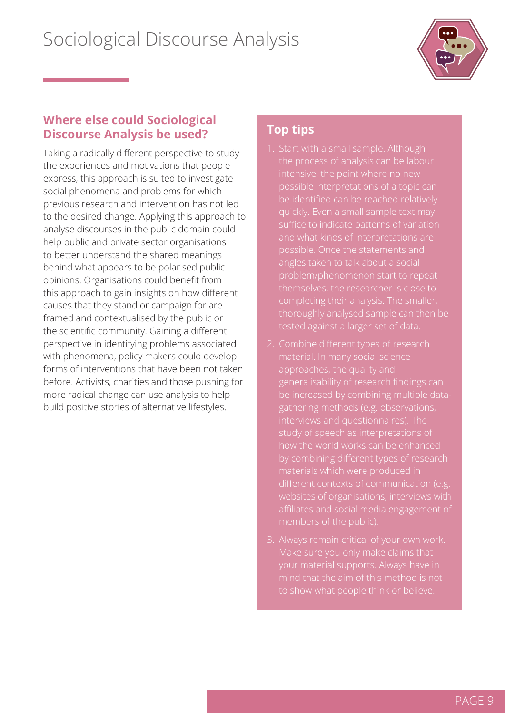

#### **Where else could Sociological Discourse Analysis be used?**

Taking a radically different perspective to study the experiences and motivations that people express, this approach is suited to investigate social phenomena and problems for which previous research and intervention has not led to the desired change. Applying this approach to analyse discourses in the public domain could help public and private sector organisations to better understand the shared meanings behind what appears to be polarised public opinions. Organisations could benefit from this approach to gain insights on how different causes that they stand or campaign for are framed and contextualised by the public or the scientific community. Gaining a different perspective in identifying problems associated with phenomena, policy makers could develop forms of interventions that have been not taken before. Activists, charities and those pushing for more radical change can use analysis to help build positive stories of alternative lifestyles.

### **Top tips**

- 
- generalisability of research findings can websites of organisations, interviews with
-